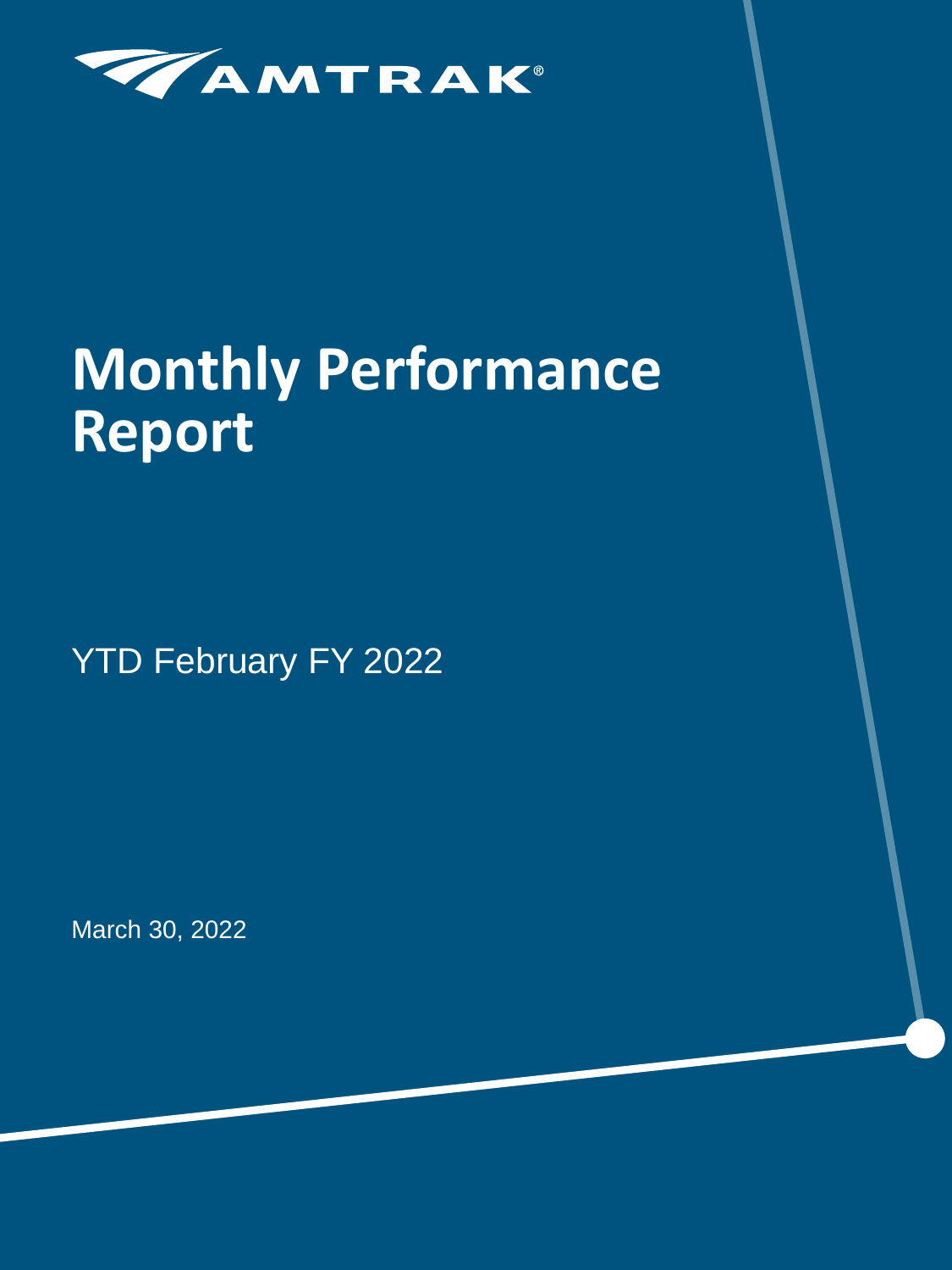

# **Monthly Performance Report**

YTD February FY 2022

March 30, 2022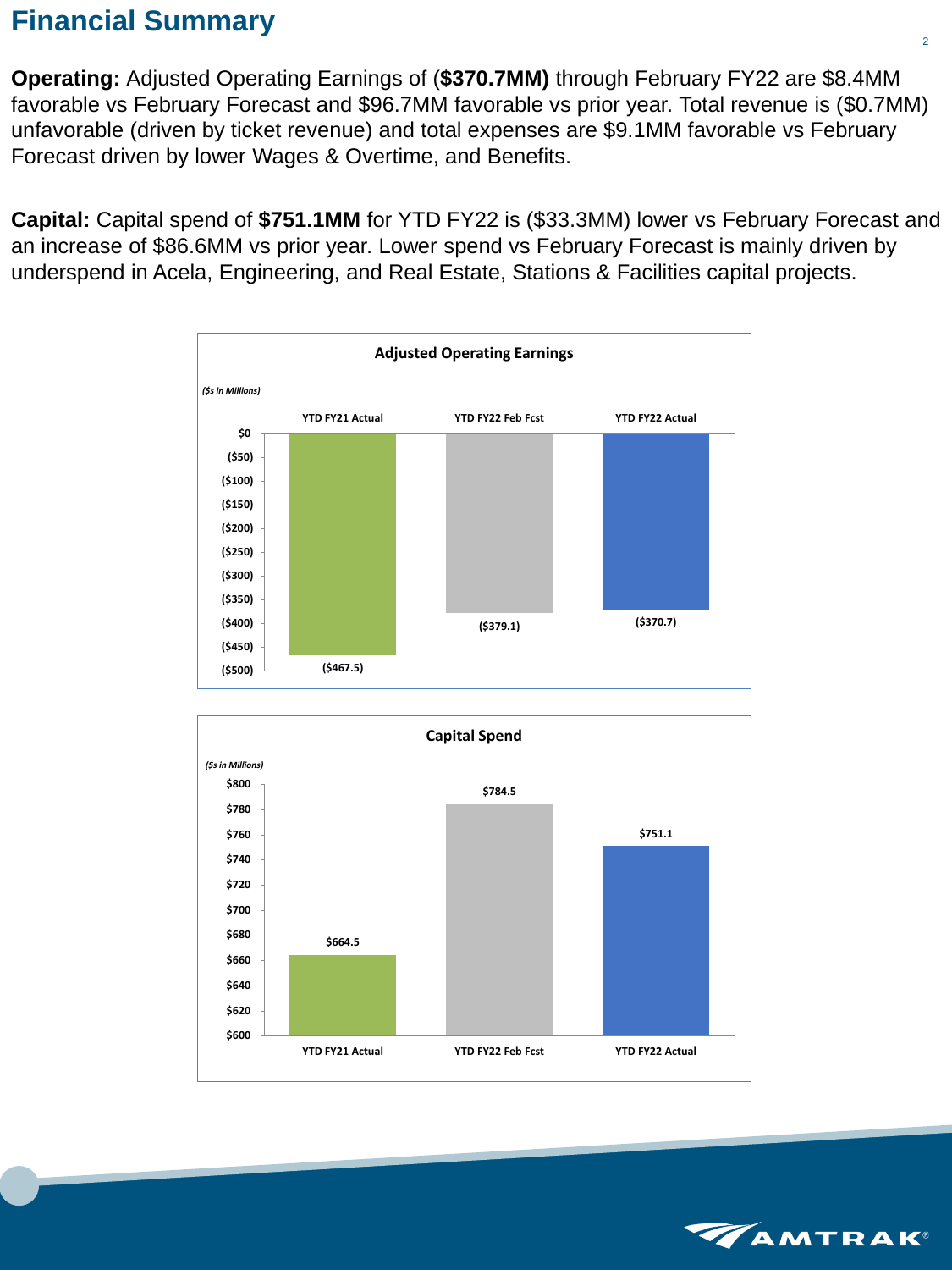## **Financial Summary**

**Operating:** Adjusted Operating Earnings of (**\$370.7MM)** through February FY22 are \$8.4MM favorable vs February Forecast and \$96.7MM favorable vs prior year. Total revenue is (\$0.7MM) unfavorable (driven by ticket revenue) and total expenses are \$9.1MM favorable vs February Forecast driven by lower Wages & Overtime, and Benefits.

**Capital:** Capital spend of **\$751.1MM** for YTD FY22 is (\$33.3MM) lower vs February Forecast and an increase of \$86.6MM vs prior year. Lower spend vs February Forecast is mainly driven by underspend in Acela, Engineering, and Real Estate, Stations & Facilities capital projects.





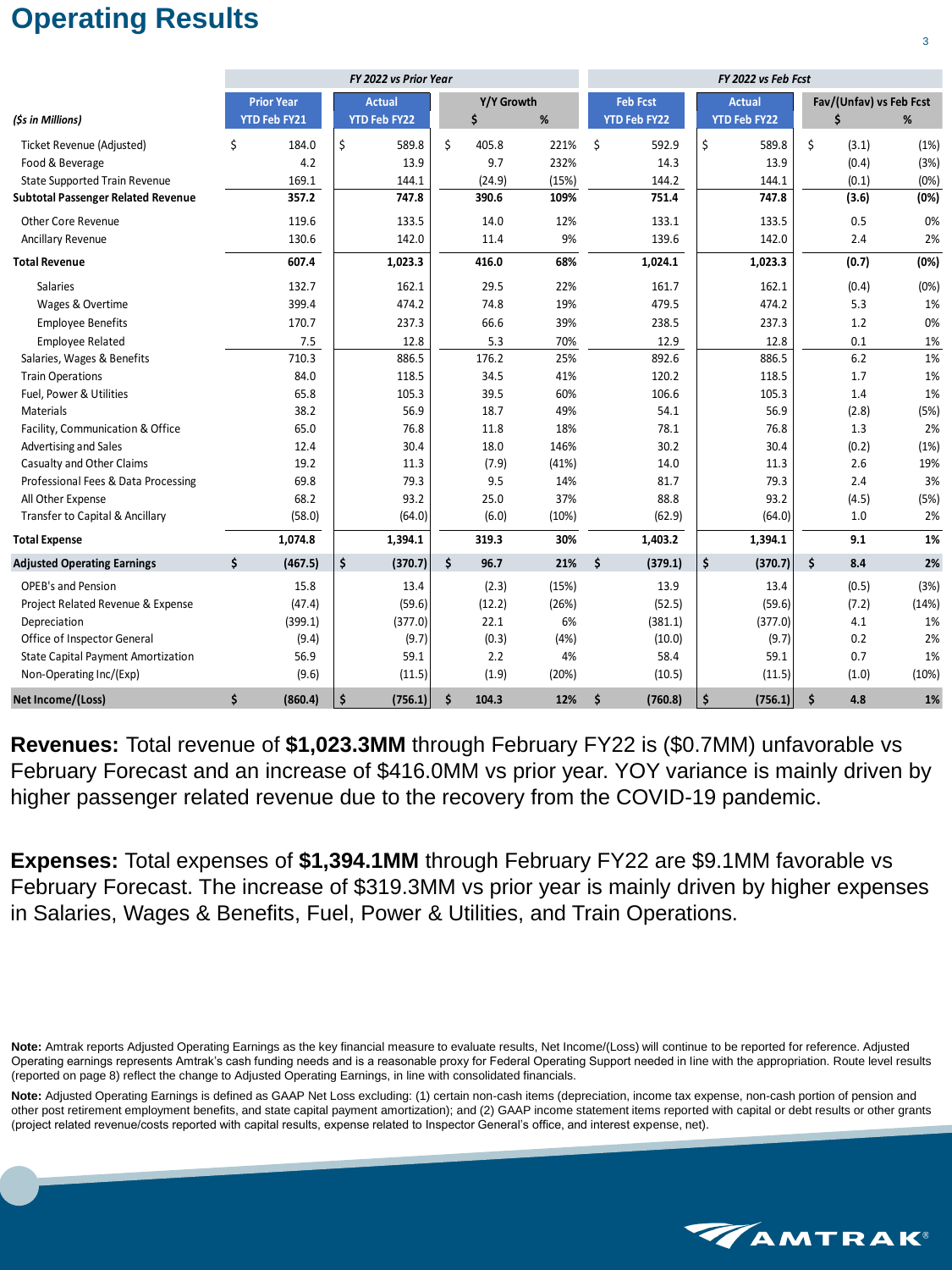# **Operating Results**

|                                           |                     |                      | FY 2022 vs Prior Year |            |        | FY 2022 vs Feb Fcst |                 |                     |                                      |         |                              |       |       |
|-------------------------------------------|---------------------|----------------------|-----------------------|------------|--------|---------------------|-----------------|---------------------|--------------------------------------|---------|------------------------------|-------|-------|
|                                           | <b>Prior Year</b>   | <b>Actual</b>        |                       | Y/Y Growth |        |                     | <b>Feb Fcst</b> |                     | <b>Actual</b><br><b>YTD Feb FY22</b> |         | Fav/(Unfav) vs Feb Fcst<br>% |       |       |
| (\$s in Millions)                         | <b>YTD Feb FY21</b> |                      | <b>YTD Feb FY22</b>   |            | \$     | %                   |                 | <b>YTD Feb FY22</b> |                                      |         |                              |       |       |
| Ticket Revenue (Adjusted)                 | \$<br>184.0         | \$                   | 589.8                 | \$         | 405.8  | 221%                | \$              | 592.9               | \$                                   | 589.8   | \$                           | (3.1) | (1%)  |
| Food & Beverage                           | 4.2                 |                      | 13.9                  |            | 9.7    | 232%                |                 | 14.3                |                                      | 13.9    |                              | (0.4) | (3%)  |
| <b>State Supported Train Revenue</b>      | 169.1               |                      | 144.1                 |            | (24.9) | (15%)               |                 | 144.2               |                                      | 144.1   |                              | (0.1) | (0%)  |
| <b>Subtotal Passenger Related Revenue</b> | 357.2               |                      | 747.8                 |            | 390.6  | 109%                |                 | 751.4               |                                      | 747.8   |                              | (3.6) | (0%)  |
| <b>Other Core Revenue</b>                 | 119.6               |                      | 133.5                 |            | 14.0   | 12%                 |                 | 133.1               |                                      | 133.5   |                              | 0.5   | 0%    |
| Ancillary Revenue                         | 130.6               |                      | 142.0                 |            | 11.4   | 9%                  |                 | 139.6               |                                      | 142.0   |                              | 2.4   | 2%    |
| <b>Total Revenue</b>                      | 607.4               |                      | 1,023.3               |            | 416.0  | 68%                 |                 | 1,024.1             |                                      | 1,023.3 |                              | (0.7) | (0%)  |
| Salaries                                  | 132.7               |                      | 162.1                 |            | 29.5   | 22%                 |                 | 161.7               |                                      | 162.1   |                              | (0.4) | (0%)  |
| Wages & Overtime                          | 399.4               |                      | 474.2                 |            | 74.8   | 19%                 |                 | 479.5               |                                      | 474.2   |                              | 5.3   | 1%    |
| <b>Employee Benefits</b>                  | 170.7               |                      | 237.3                 |            | 66.6   | 39%                 |                 | 238.5               |                                      | 237.3   |                              | 1.2   | 0%    |
| <b>Employee Related</b>                   | 7.5                 |                      | 12.8                  |            | 5.3    | 70%                 |                 | 12.9                |                                      | 12.8    |                              | 0.1   | 1%    |
| Salaries, Wages & Benefits                | 710.3               |                      | 886.5                 |            | 176.2  | 25%                 |                 | 892.6               |                                      | 886.5   |                              | 6.2   | 1%    |
| <b>Train Operations</b>                   | 84.0                |                      | 118.5                 |            | 34.5   | 41%                 |                 | 120.2               |                                      | 118.5   |                              | 1.7   | 1%    |
| Fuel, Power & Utilities                   | 65.8                |                      | 105.3                 |            | 39.5   | 60%                 |                 | 106.6               |                                      | 105.3   |                              | 1.4   | 1%    |
| Materials                                 | 38.2                |                      | 56.9                  |            | 18.7   | 49%                 |                 | 54.1                |                                      | 56.9    |                              | (2.8) | (5%)  |
| Facility, Communication & Office          | 65.0                |                      | 76.8                  |            | 11.8   | 18%                 |                 | 78.1                |                                      | 76.8    |                              | 1.3   | 2%    |
| Advertising and Sales                     | 12.4                |                      | 30.4                  |            | 18.0   | 146%                |                 | 30.2                |                                      | 30.4    |                              | (0.2) | (1%)  |
| Casualty and Other Claims                 | 19.2                |                      | 11.3                  |            | (7.9)  | (41%)               |                 | 14.0                |                                      | 11.3    |                              | 2.6   | 19%   |
| Professional Fees & Data Processing       | 69.8                |                      | 79.3                  |            | 9.5    | 14%                 |                 | 81.7                |                                      | 79.3    |                              | 2.4   | 3%    |
| All Other Expense                         | 68.2                |                      | 93.2                  |            | 25.0   | 37%                 |                 | 88.8                |                                      | 93.2    |                              | (4.5) | (5%)  |
| Transfer to Capital & Ancillary           | (58.0)              |                      | (64.0)                |            | (6.0)  | (10%)               |                 | (62.9)              |                                      | (64.0)  |                              | 1.0   | 2%    |
| <b>Total Expense</b>                      | 1,074.8             |                      | 1,394.1               |            | 319.3  | 30%                 |                 | 1,403.2             |                                      | 1,394.1 |                              | 9.1   | 1%    |
| <b>Adjusted Operating Earnings</b>        | \$<br>(467.5)       | \$                   | (370.7)               | \$         | 96.7   | 21%                 | \$              | (379.1)             | $\zeta$                              | (370.7) | \$                           | 8.4   | 2%    |
| <b>OPEB's and Pension</b>                 | 15.8                |                      | 13.4                  |            | (2.3)  | (15%)               |                 | 13.9                |                                      | 13.4    |                              | (0.5) | (3%)  |
| Project Related Revenue & Expense         | (47.4)              |                      | (59.6)                |            | (12.2) | (26%)               |                 | (52.5)              |                                      | (59.6)  |                              | (7.2) | (14%) |
| Depreciation                              | (399.1)             |                      | (377.0)               |            | 22.1   | 6%                  |                 | (381.1)             |                                      | (377.0) |                              | 4.1   | 1%    |
| Office of Inspector General               | (9.4)               |                      | (9.7)                 |            | (0.3)  | (4% )               |                 | (10.0)              |                                      | (9.7)   |                              | 0.2   | 2%    |
| <b>State Capital Payment Amortization</b> | 56.9                |                      | 59.1                  |            | 2.2    | 4%                  |                 | 58.4                |                                      | 59.1    |                              | 0.7   | 1%    |
| Non-Operating Inc/(Exp)                   | (9.6)               |                      | (11.5)                |            | (1.9)  | (20%)               |                 | (10.5)              |                                      | (11.5)  |                              | (1.0) | (10%) |
| <b>Net Income/(Loss)</b>                  | \$<br>(860.4)       | $\boldsymbol{\zeta}$ | (756.1)               | \$         | 104.3  | 12%                 | \$              | (760.8)             | $\vert$ \$                           | (756.1) | \$                           | 4.8   | $1\%$ |

**Revenues:** Total revenue of **\$1,023.3MM** through February FY22 is (\$0.7MM) unfavorable vs February Forecast and an increase of \$416.0MM vs prior year. YOY variance is mainly driven by higher passenger related revenue due to the recovery from the COVID-19 pandemic.

**Expenses:** Total expenses of **\$1,394.1MM** through February FY22 are \$9.1MM favorable vs February Forecast. The increase of \$319.3MM vs prior year is mainly driven by higher expenses in Salaries, Wages & Benefits, Fuel, Power & Utilities, and Train Operations.

**Note:** Adjusted Operating Earnings is defined as GAAP Net Loss excluding: (1) certain non-cash items (depreciation, income tax expense, non-cash portion of pension and other post retirement employment benefits, and state capital payment amortization); and (2) GAAP income statement items reported with capital or debt results or other grants (project related revenue/costs reported with capital results, expense related to Inspector General's office, and interest expense, net).



**Note:** Amtrak reports Adjusted Operating Earnings as the key financial measure to evaluate results, Net Income/(Loss) will continue to be reported for reference. Adjusted Operating earnings represents Amtrak's cash funding needs and is a reasonable proxy for Federal Operating Support needed in line with the appropriation. Route level results (reported on page 8) reflect the change to Adjusted Operating Earnings, in line with consolidated financials.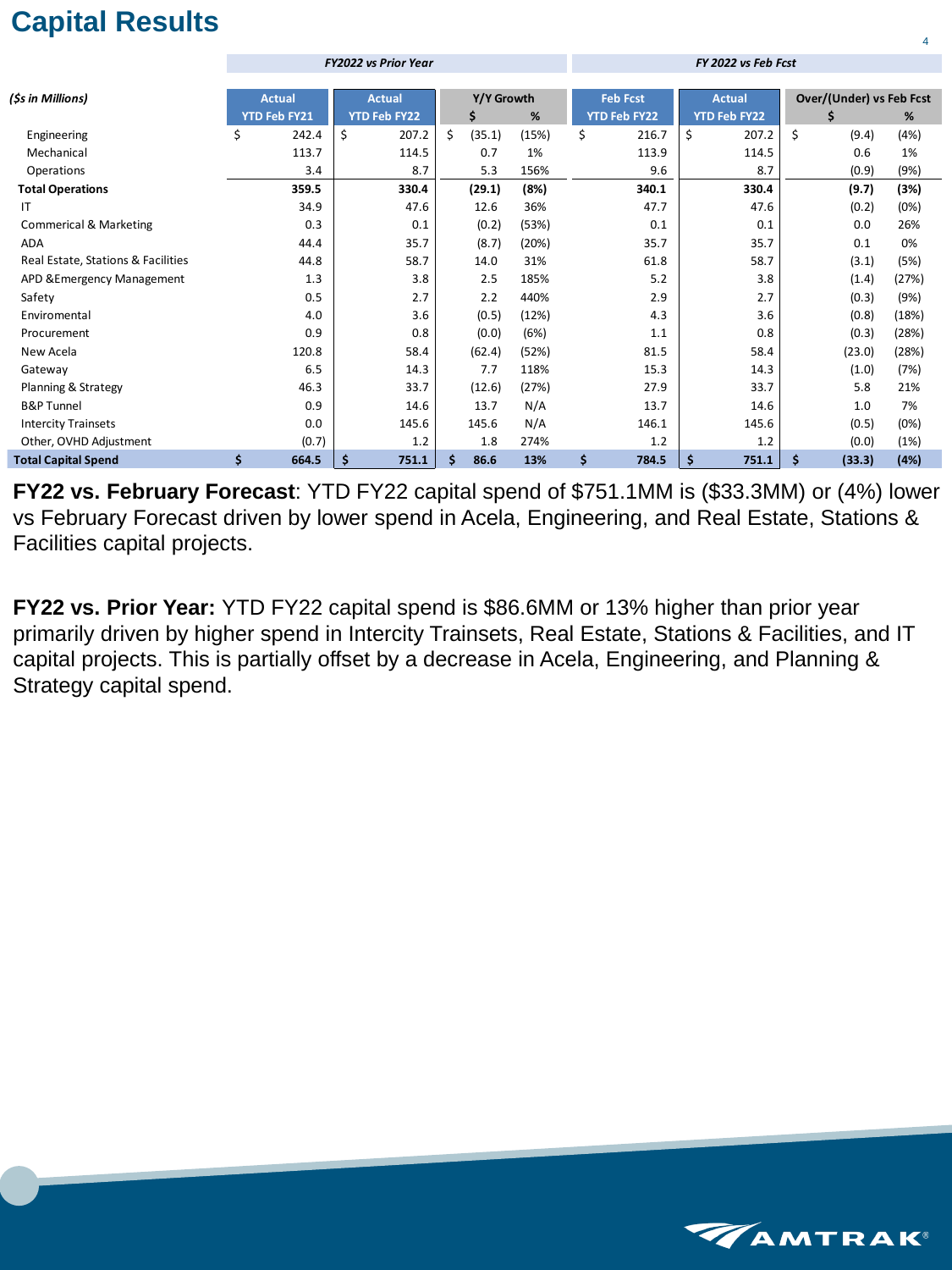# **Capital Results**

|                                    |                     | <b>FY2022 vs Prior Year</b> |              |       | FY 2022 vs Feb Fcst |                     |                          |       |  |  |  |  |
|------------------------------------|---------------------|-----------------------------|--------------|-------|---------------------|---------------------|--------------------------|-------|--|--|--|--|
|                                    |                     |                             |              |       |                     |                     |                          |       |  |  |  |  |
| (\$s in Millions)                  | <b>Actual</b>       | <b>Actual</b>               | Y/Y Growth   |       | <b>Feb Fcst</b>     | <b>Actual</b>       | Over/(Under) vs Feb Fcst |       |  |  |  |  |
|                                    | <b>YTD Feb FY21</b> | <b>YTD Feb FY22</b>         | \$           | $\%$  | <b>YTD Feb FY22</b> | <b>YTD Feb FY22</b> | \$                       | %     |  |  |  |  |
| Engineering                        | \$<br>242.4         | \$<br>207.2                 | \$<br>(35.1) | (15%) | \$<br>216.7         | \$<br>207.2         | \$<br>(9.4)              | (4%)  |  |  |  |  |
| Mechanical                         | 113.7               | 114.5                       | 0.7          | 1%    | 113.9               | 114.5               | 0.6                      | 1%    |  |  |  |  |
| Operations                         | 3.4                 | 8.7                         | 5.3          | 156%  | 9.6                 | 8.7                 | (0.9)                    | (9%)  |  |  |  |  |
| <b>Total Operations</b>            | 359.5               | 330.4                       | (29.1)       | (8%)  | 340.1               | 330.4               | (9.7)                    | (3%)  |  |  |  |  |
| ΙTΙ                                | 34.9                | 47.6                        | 12.6         | 36%   | 47.7                | 47.6                | (0.2)                    | (0%)  |  |  |  |  |
| <b>Commerical &amp; Marketing</b>  | 0.3                 | 0.1                         | (0.2)        | (53%) | 0.1                 | 0.1                 | 0.0                      | 26%   |  |  |  |  |
| <b>ADA</b>                         | 44.4                | 35.7                        | (8.7)        | (20%) | 35.7                | 35.7                | 0.1                      | 0%    |  |  |  |  |
| Real Estate, Stations & Facilities | 44.8                | 58.7                        | 14.0         | 31%   | 61.8                | 58.7                | (3.1)                    | (5%)  |  |  |  |  |
| APD & Emergency Management         | 1.3                 | 3.8                         | 2.5          | 185%  | 5.2                 | 3.8                 | (1.4)                    | (27%) |  |  |  |  |
| Safety                             | 0.5                 | 2.7                         | 2.2          | 440%  | 2.9                 | 2.7                 | (0.3)                    | (9%)  |  |  |  |  |
| Enviromental                       | 4.0                 | 3.6                         | (0.5)        | (12%) | 4.3                 | 3.6                 | (0.8)                    | (18%) |  |  |  |  |
| Procurement                        | 0.9                 | 0.8                         | (0.0)        | (6%)  | 1.1                 | 0.8                 | (0.3)                    | (28%) |  |  |  |  |
| New Acela                          | 120.8               | 58.4                        | (62.4)       | (52%) | 81.5                | 58.4                | (23.0)                   | (28%) |  |  |  |  |
| Gateway                            | 6.5                 | 14.3                        | 7.7          | 118%  | 15.3                | 14.3                | (1.0)                    | (7%)  |  |  |  |  |
| Planning & Strategy                | 46.3                | 33.7                        | (12.6)       | (27%) | 27.9                | 33.7                | 5.8                      | 21%   |  |  |  |  |
| <b>B&amp;P Tunnel</b>              | 0.9                 | 14.6                        | 13.7         | N/A   | 13.7                | 14.6                | 1.0                      | 7%    |  |  |  |  |
| <b>Intercity Trainsets</b>         | 0.0                 | 145.6                       | 145.6        | N/A   | 146.1               | 145.6               | (0.5)                    | (0%)  |  |  |  |  |
| Other, OVHD Adjustment             | (0.7)               | 1.2                         | 1.8          | 274%  | 1.2                 | 1.2                 | (0.0)                    | (1%)  |  |  |  |  |
| <b>Total Capital Spend</b>         | \$<br>664.5         | \$<br>751.1                 | \$<br>86.6   | 13%   | \$<br>784.5         | \$<br>751.1         | \$<br>(33.3)             | (4%)  |  |  |  |  |

**FY22 vs. February Forecast**: YTD FY22 capital spend of \$751.1MM is (\$33.3MM) or (4%) lower vs February Forecast driven by lower spend in Acela, Engineering, and Real Estate, Stations & Facilities capital projects.

**FY22 vs. Prior Year:** YTD FY22 capital spend is \$86.6MM or 13% higher than prior year primarily driven by higher spend in Intercity Trainsets, Real Estate, Stations & Facilities, and IT capital projects. This is partially offset by a decrease in Acela, Engineering, and Planning & Strategy capital spend.

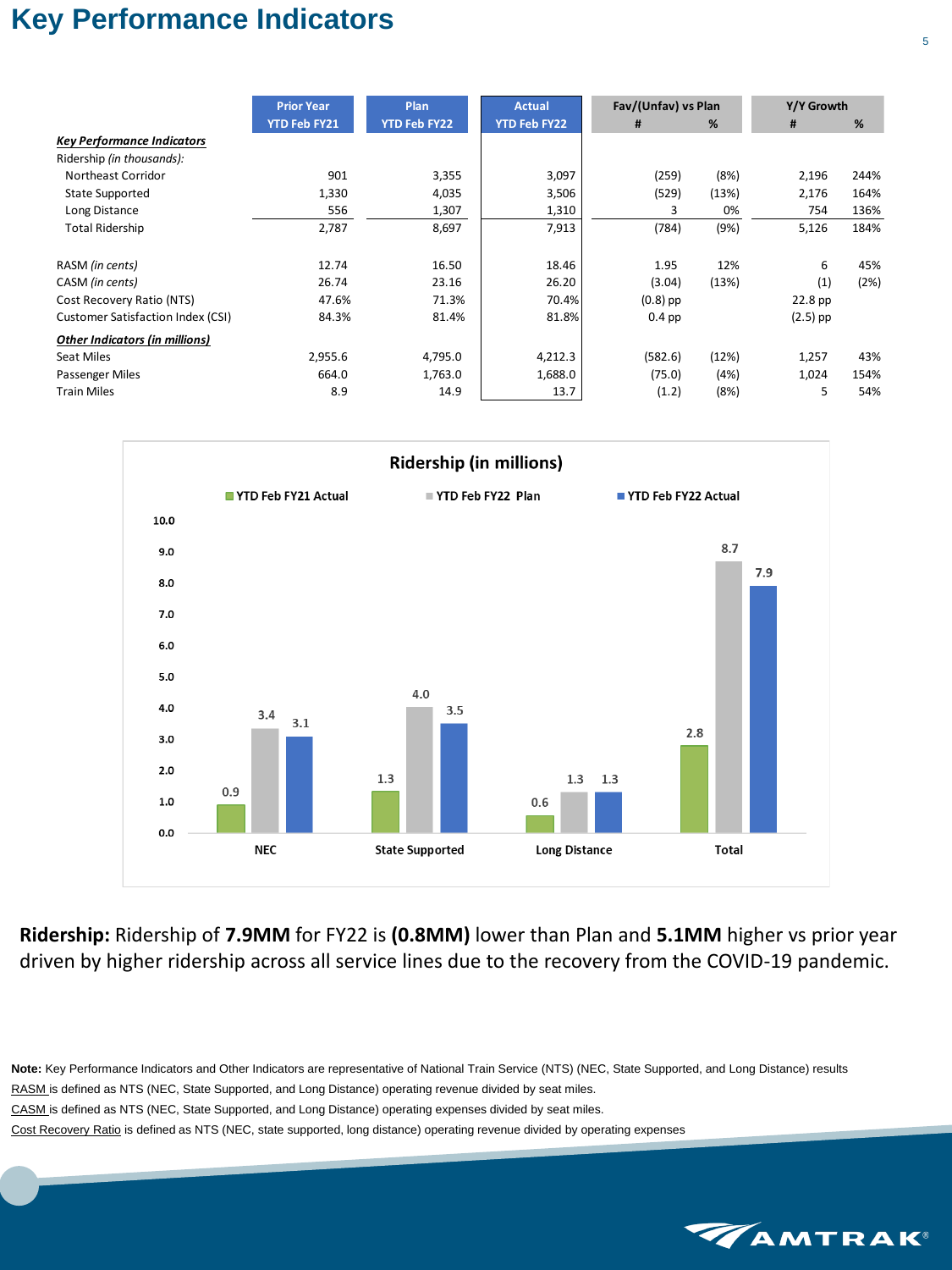## **Key Performance Indicators**

|                                          | <b>Prior Year</b>   | Plan                | <b>Actual</b>       | Fav/(Unfav) vs Plan |       | Y/Y Growth |      |  |
|------------------------------------------|---------------------|---------------------|---------------------|---------------------|-------|------------|------|--|
|                                          | <b>YTD Feb FY21</b> | <b>YTD Feb FY22</b> | <b>YTD Feb FY22</b> | #                   | %     | #          | %    |  |
| <b>Key Performance Indicators</b>        |                     |                     |                     |                     |       |            |      |  |
| Ridership (in thousands):                |                     |                     |                     |                     |       |            |      |  |
| Northeast Corridor                       | 901                 | 3,355               | 3,097               | (259)               | (8%)  | 2,196      | 244% |  |
| <b>State Supported</b>                   | 1,330               | 4,035               | 3,506               | (529)               | (13%) | 2,176      | 164% |  |
| Long Distance                            | 556                 | 1,307               | 1,310               | 3                   | 0%    | 754        | 136% |  |
| <b>Total Ridership</b>                   | 2,787               | 8,697               | 7,913               | (784)               | (9%)  | 5,126      | 184% |  |
|                                          |                     |                     |                     |                     |       |            |      |  |
| RASM (in cents)                          | 12.74               | 16.50               | 18.46               | 1.95                | 12%   | 6          | 45%  |  |
| CASM (in cents)                          | 26.74               | 23.16               | 26.20               | (3.04)              | (13%) | (1)        | (2%) |  |
| Cost Recovery Ratio (NTS)                | 47.6%               | 71.3%               | 70.4%               | $(0.8)$ pp          |       | 22.8 pp    |      |  |
| <b>Customer Satisfaction Index (CSI)</b> | 84.3%               | 81.4%               | 81.8%               | $0.4$ pp            |       | $(2.5)$ pp |      |  |
| <b>Other Indicators (in millions)</b>    |                     |                     |                     |                     |       |            |      |  |
| Seat Miles                               | 2,955.6             | 4,795.0             | 4,212.3             | (582.6)             | (12%) | 1,257      | 43%  |  |
| Passenger Miles                          | 664.0               | 1,763.0             | 1,688.0             | (75.0)              | (4%)  | 1,024      | 154% |  |
| <b>Train Miles</b>                       | 8.9                 | 14.9                | 13.7                | (1.2)               | (8%)  | 5          | 54%  |  |



**Ridership:** Ridership of **7.9MM** for FY22 is **(0.8MM)** lower than Plan and **5.1MM** higher vs prior year driven by higher ridership across all service lines due to the recovery from the COVID-19 pandemic.

**Note:** Key Performance Indicators and Other Indicators are representative of National Train Service (NTS) (NEC, State Supported, and Long Distance) results RASM is defined as NTS (NEC, State Supported, and Long Distance) operating revenue divided by seat miles. CASM is defined as NTS (NEC, State Supported, and Long Distance) operating expenses divided by seat miles. Cost Recovery Ratio is defined as NTS (NEC, state supported, long distance) operating revenue divided by operating expenses

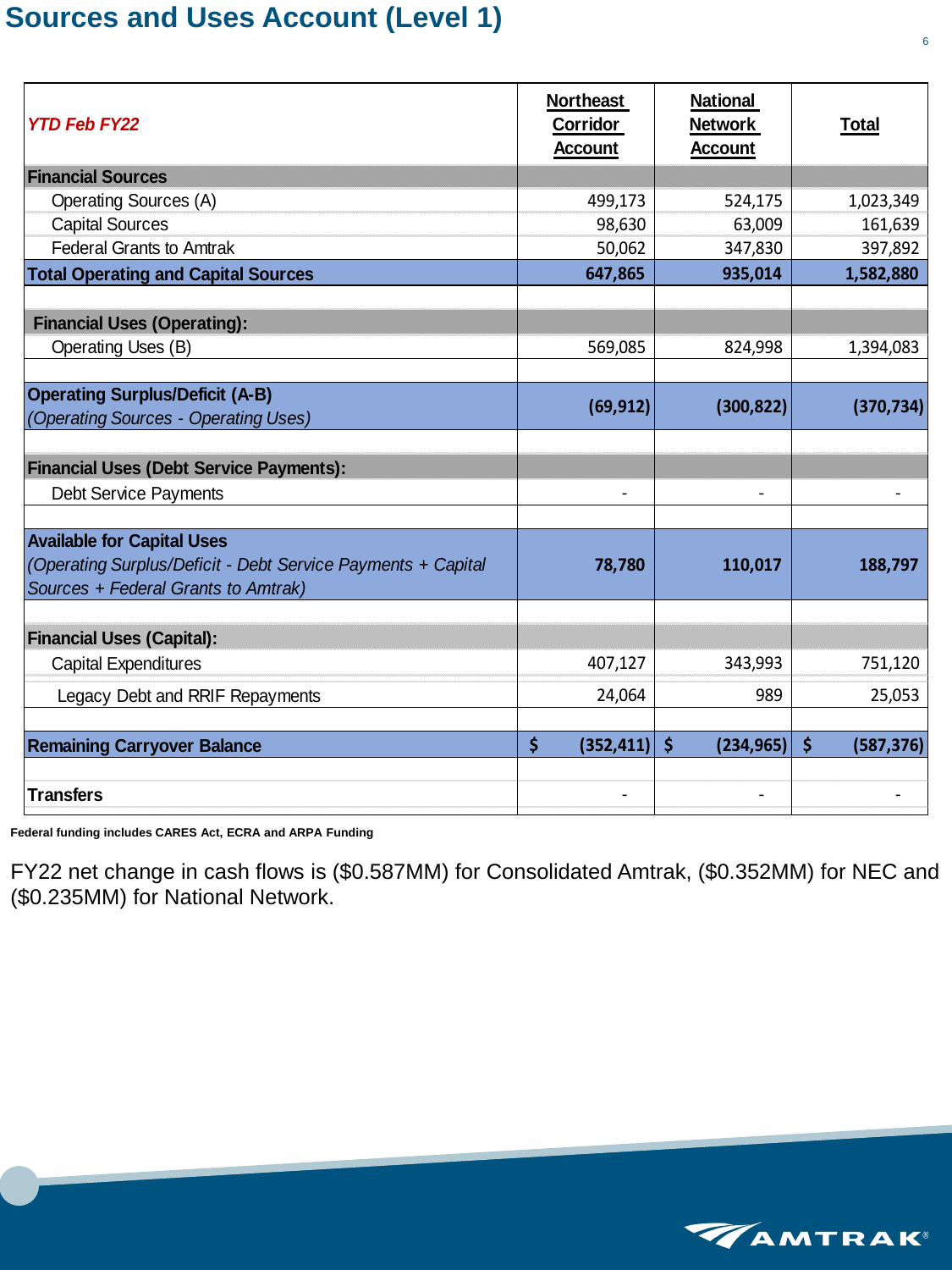### **Sources and Uses Account (Level 1)**

| <b>YTD Feb FY22</b>                                          | <b>Northeast</b><br>Corridor<br><b>Account</b> | <b>National</b><br><b>Network</b><br><b>Account</b> | <b>Total</b>     |
|--------------------------------------------------------------|------------------------------------------------|-----------------------------------------------------|------------------|
| <b>Financial Sources</b>                                     |                                                |                                                     |                  |
| <b>Operating Sources (A)</b>                                 | 499,173                                        | 524,175                                             | 1,023,349        |
| <b>Capital Sources</b>                                       | 98,630                                         | 63,009                                              | 161,639          |
| <b>Federal Grants to Amtrak</b>                              | 50,062                                         | 347,830                                             | 397,892          |
| <b>Total Operating and Capital Sources</b>                   | 647,865                                        | 935,014                                             | 1,582,880        |
|                                                              |                                                |                                                     |                  |
| <b>Financial Uses (Operating):</b>                           |                                                |                                                     |                  |
| <b>Operating Uses (B)</b>                                    | 569,085                                        | 824,998                                             | 1,394,083        |
|                                                              |                                                |                                                     |                  |
| <b>Operating Surplus/Deficit (A-B)</b>                       | (69, 912)                                      | (300, 822)                                          | (370, 734)       |
| (Operating Sources - Operating Uses)                         |                                                |                                                     |                  |
|                                                              |                                                |                                                     |                  |
| <b>Financial Uses (Debt Service Payments):</b>               |                                                |                                                     |                  |
| <b>Debt Service Payments</b>                                 |                                                |                                                     |                  |
|                                                              |                                                |                                                     |                  |
| <b>Available for Capital Uses</b>                            |                                                |                                                     |                  |
| (Operating Surplus/Deficit - Debt Service Payments + Capital | 78,780                                         | 110,017                                             | 188,797          |
| Sources + Federal Grants to Amtrak)                          |                                                |                                                     |                  |
|                                                              |                                                |                                                     |                  |
| <b>Financial Uses (Capital):</b>                             |                                                |                                                     |                  |
| <b>Capital Expenditures</b>                                  | 407,127                                        | 343,993                                             | 751,120          |
| Legacy Debt and RRIF Repayments                              | 24,064                                         | 989                                                 | 25,053           |
|                                                              |                                                |                                                     |                  |
| <b>Remaining Carryover Balance</b>                           | \$<br>(352, 411)                               | $\zeta$<br>(234, 965)                               | \$<br>(587, 376) |
|                                                              |                                                |                                                     |                  |
| <b>Transfers</b>                                             |                                                |                                                     |                  |
|                                                              |                                                |                                                     |                  |

**Federal funding includes CARES Act, ECRA and ARPA Funding**

FY22 net change in cash flows is (\$0.587MM) for Consolidated Amtrak, (\$0.352MM) for NEC and (\$0.235MM) for National Network.